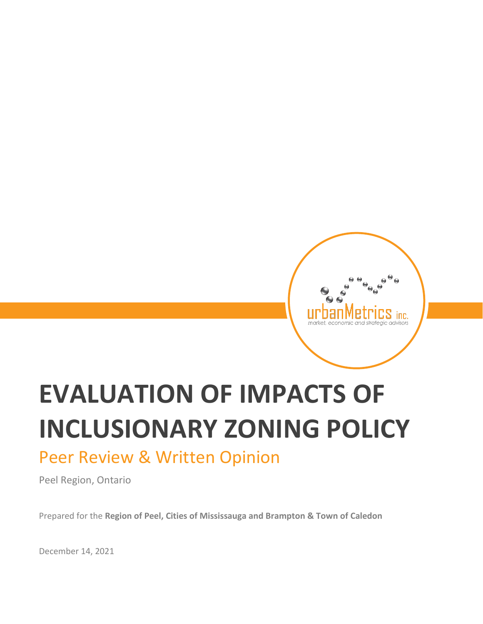# urb inc.

# **EVALUATION OF IMPACTS OF INCLUSIONARY ZONING POLICY**

## Peer Review & Written Opinion

Peel Region, Ontario

Prepared for the **Region of Peel, Cities of Mississauga and Brampton & Town of Caledon**

December 14, 2021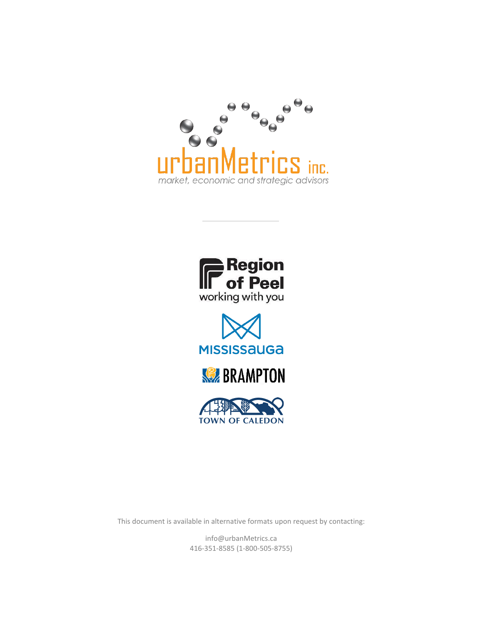









This document is available in alternative formats upon request by contacting:

info@urbanMetrics.ca 416-351-8585 (1-800-505-8755)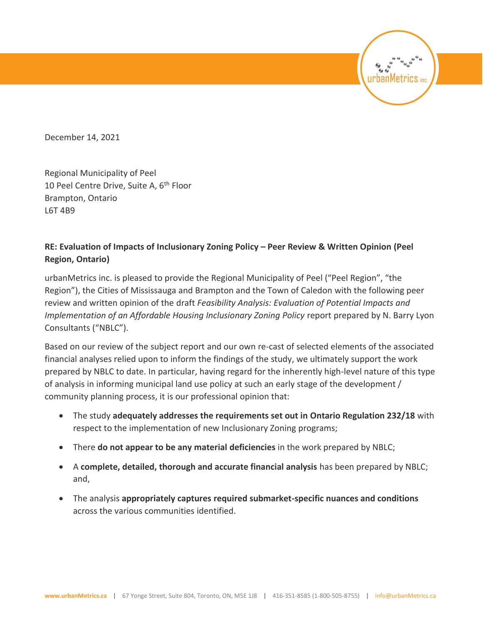December 14, 2021

Regional Municipality of Peel 10 Peel Centre Drive, Suite A,  $6<sup>th</sup>$  Floor Brampton, Ontario L6T 4B9

#### **RE: Evaluation of Impacts of Inclusionary Zoning Policy – Peer Review & Written Opinion (Peel Region, Ontario)**

urbanMetrics inc. is pleased to provide the Regional Municipality of Peel ("Peel Region", "the Region"), the Cities of Mississauga and Brampton and the Town of Caledon with the following peer review and written opinion of the draft *Feasibility Analysis: Evaluation of Potential Impacts and Implementation of an Affordable Housing Inclusionary Zoning Policy* report prepared by N. Barry Lyon Consultants ("NBLC").

urbanMetrics

Based on our review of the subject report and our own re-cast of selected elements of the associated financial analyses relied upon to inform the findings of the study, we ultimately support the work prepared by NBLC to date. In particular, having regard for the inherently high-level nature of this type of analysis in informing municipal land use policy at such an early stage of the development / community planning process, it is our professional opinion that:

- The study **adequately addresses the requirements set out in Ontario Regulation 232/18** with respect to the implementation of new Inclusionary Zoning programs;
- There **do not appear to be any material deficiencies** in the work prepared by NBLC;
- A **complete, detailed, thorough and accurate financial analysis** has been prepared by NBLC; and,
- The analysis **appropriately captures required submarket-specific nuances and conditions** across the various communities identified.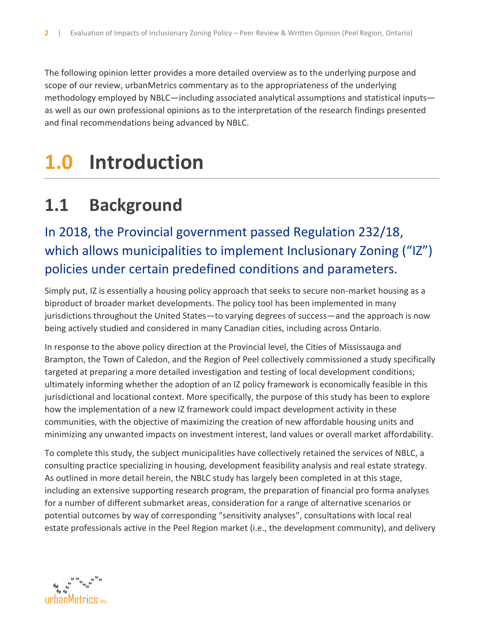The following opinion letter provides a more detailed overview as to the underlying purpose and scope of our review, urbanMetrics commentary as to the appropriateness of the underlying methodology employed by NBLC—including associated analytical assumptions and statistical inputs as well as our own professional opinions as to the interpretation of the research findings presented and final recommendations being advanced by NBLC.

# **1.0 Introduction**

# **1.1 Background**

## In 2018, the Provincial government passed Regulation 232/18, which allows municipalities to implement Inclusionary Zoning ("IZ") policies under certain predefined conditions and parameters.

Simply put, IZ is essentially a housing policy approach that seeks to secure non-market housing as a biproduct of broader market developments. The policy tool has been implemented in many jurisdictions throughout the United States—to varying degrees of success—and the approach is now being actively studied and considered in many Canadian cities, including across Ontario.

In response to the above policy direction at the Provincial level, the Cities of Mississauga and Brampton, the Town of Caledon, and the Region of Peel collectively commissioned a study specifically targeted at preparing a more detailed investigation and testing of local development conditions; ultimately informing whether the adoption of an IZ policy framework is economically feasible in this jurisdictional and locational context. More specifically, the purpose of this study has been to explore how the implementation of a new IZ framework could impact development activity in these communities, with the objective of maximizing the creation of new affordable housing units and minimizing any unwanted impacts on investment interest, land values or overall market affordability.

To complete this study, the subject municipalities have collectively retained the services of NBLC, a consulting practice specializing in housing, development feasibility analysis and real estate strategy. As outlined in more detail herein, the NBLC study has largely been completed in at this stage, including an extensive supporting research program, the preparation of financial pro forma analyses for a number of different submarket areas, consideration for a range of alternative scenarios or potential outcomes by way of corresponding "sensitivity analyses", consultations with local real estate professionals active in the Peel Region market (i.e., the development community), and delivery

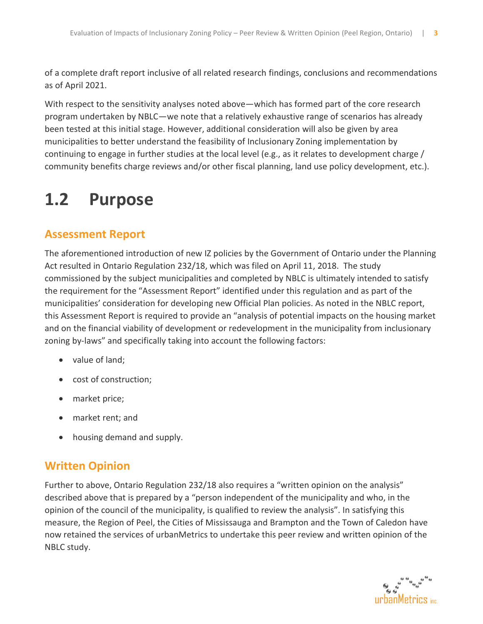of a complete draft report inclusive of all related research findings, conclusions and recommendations as of April 2021.

With respect to the sensitivity analyses noted above—which has formed part of the core research program undertaken by NBLC—we note that a relatively exhaustive range of scenarios has already been tested at this initial stage. However, additional consideration will also be given by area municipalities to better understand the feasibility of Inclusionary Zoning implementation by continuing to engage in further studies at the local level (e.g., as it relates to development charge / community benefits charge reviews and/or other fiscal planning, land use policy development, etc.).

# **1.2 Purpose**

#### **Assessment Report**

The aforementioned introduction of new IZ policies by the Government of Ontario under the Planning Act resulted in Ontario Regulation 232/18, which was filed on April 11, 2018. The study commissioned by the subject municipalities and completed by NBLC is ultimately intended to satisfy the requirement for the "Assessment Report" identified under this regulation and as part of the municipalities' consideration for developing new Official Plan policies. As noted in the NBLC report, this Assessment Report is required to provide an "analysis of potential impacts on the housing market and on the financial viability of development or redevelopment in the municipality from inclusionary zoning by-laws" and specifically taking into account the following factors:

- value of land;
- cost of construction;
- market price;
- market rent; and
- housing demand and supply.

#### **Written Opinion**

Further to above, Ontario Regulation 232/18 also requires a "written opinion on the analysis" described above that is prepared by a "person independent of the municipality and who, in the opinion of the council of the municipality, is qualified to review the analysis". In satisfying this measure, the Region of Peel, the Cities of Mississauga and Brampton and the Town of Caledon have now retained the services of urbanMetrics to undertake this peer review and written opinion of the NBLC study.

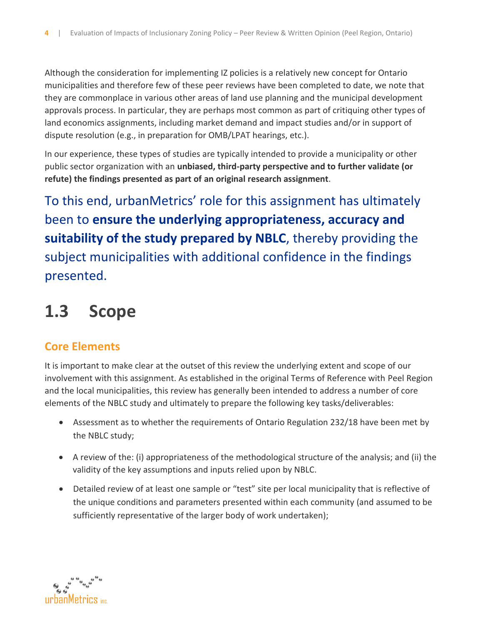Although the consideration for implementing IZ policies is a relatively new concept for Ontario municipalities and therefore few of these peer reviews have been completed to date, we note that they are commonplace in various other areas of land use planning and the municipal development approvals process. In particular, they are perhaps most common as part of critiquing other types of land economics assignments, including market demand and impact studies and/or in support of dispute resolution (e.g., in preparation for OMB/LPAT hearings, etc.).

In our experience, these types of studies are typically intended to provide a municipality or other public sector organization with an **unbiased, third-party perspective and to further validate (or refute) the findings presented as part of an original research assignment**.

To this end, urbanMetrics' role for this assignment has ultimately been to **ensure the underlying appropriateness, accuracy and suitability of the study prepared by NBLC**, thereby providing the subject municipalities with additional confidence in the findings presented.

# **1.3 Scope**

#### **Core Elements**

It is important to make clear at the outset of this review the underlying extent and scope of our involvement with this assignment. As established in the original Terms of Reference with Peel Region and the local municipalities, this review has generally been intended to address a number of core elements of the NBLC study and ultimately to prepare the following key tasks/deliverables:

- Assessment as to whether the requirements of Ontario Regulation 232/18 have been met by the NBLC study;
- A review of the: (i) appropriateness of the methodological structure of the analysis; and (ii) the validity of the key assumptions and inputs relied upon by NBLC.
- Detailed review of at least one sample or "test" site per local municipality that is reflective of the unique conditions and parameters presented within each community (and assumed to be sufficiently representative of the larger body of work undertaken);

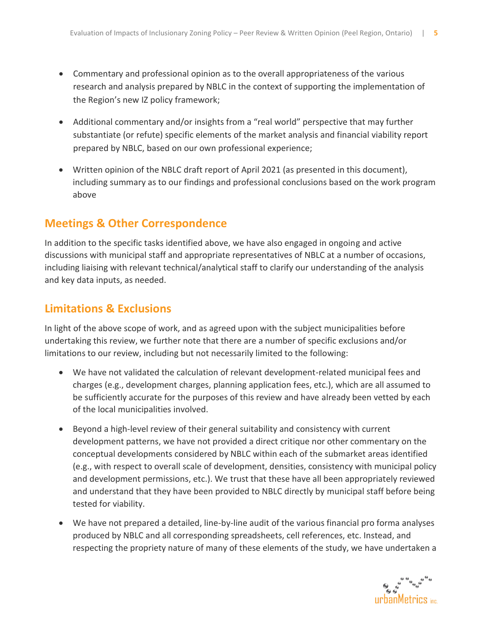- Commentary and professional opinion as to the overall appropriateness of the various research and analysis prepared by NBLC in the context of supporting the implementation of the Region's new IZ policy framework;
- Additional commentary and/or insights from a "real world" perspective that may further substantiate (or refute) specific elements of the market analysis and financial viability report prepared by NBLC, based on our own professional experience;
- Written opinion of the NBLC draft report of April 2021 (as presented in this document), including summary as to our findings and professional conclusions based on the work program above

#### **Meetings & Other Correspondence**

In addition to the specific tasks identified above, we have also engaged in ongoing and active discussions with municipal staff and appropriate representatives of NBLC at a number of occasions, including liaising with relevant technical/analytical staff to clarify our understanding of the analysis and key data inputs, as needed.

#### **Limitations & Exclusions**

In light of the above scope of work, and as agreed upon with the subject municipalities before undertaking this review, we further note that there are a number of specific exclusions and/or limitations to our review, including but not necessarily limited to the following:

- We have not validated the calculation of relevant development-related municipal fees and charges (e.g., development charges, planning application fees, etc.), which are all assumed to be sufficiently accurate for the purposes of this review and have already been vetted by each of the local municipalities involved.
- Beyond a high-level review of their general suitability and consistency with current development patterns, we have not provided a direct critique nor other commentary on the conceptual developments considered by NBLC within each of the submarket areas identified (e.g., with respect to overall scale of development, densities, consistency with municipal policy and development permissions, etc.). We trust that these have all been appropriately reviewed and understand that they have been provided to NBLC directly by municipal staff before being tested for viability.
- We have not prepared a detailed, line-by-line audit of the various financial pro forma analyses produced by NBLC and all corresponding spreadsheets, cell references, etc. Instead, and respecting the propriety nature of many of these elements of the study, we have undertaken a

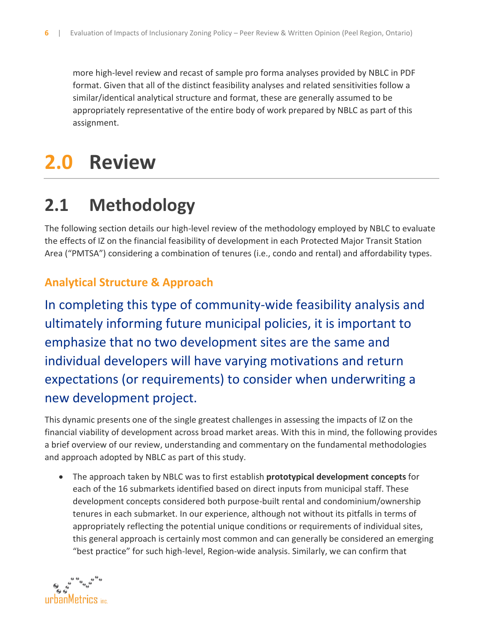more high-level review and recast of sample pro forma analyses provided by NBLC in PDF format. Given that all of the distinct feasibility analyses and related sensitivities follow a similar/identical analytical structure and format, these are generally assumed to be appropriately representative of the entire body of work prepared by NBLC as part of this assignment.

# **2.0 Review**

# **2.1 Methodology**

The following section details our high-level review of the methodology employed by NBLC to evaluate the effects of IZ on the financial feasibility of development in each Protected Major Transit Station Area ("PMTSA") considering a combination of tenures (i.e., condo and rental) and affordability types.

#### **Analytical Structure & Approach**

In completing this type of community-wide feasibility analysis and ultimately informing future municipal policies, it is important to emphasize that no two development sites are the same and individual developers will have varying motivations and return expectations (or requirements) to consider when underwriting a new development project.

This dynamic presents one of the single greatest challenges in assessing the impacts of IZ on the financial viability of development across broad market areas. With this in mind, the following provides a brief overview of our review, understanding and commentary on the fundamental methodologies and approach adopted by NBLC as part of this study.

• The approach taken by NBLC was to first establish **prototypical development concepts** for each of the 16 submarkets identified based on direct inputs from municipal staff. These development concepts considered both purpose-built rental and condominium/ownership tenures in each submarket. In our experience, although not without its pitfalls in terms of appropriately reflecting the potential unique conditions or requirements of individual sites, this general approach is certainly most common and can generally be considered an emerging "best practice" for such high-level, Region-wide analysis. Similarly, we can confirm that

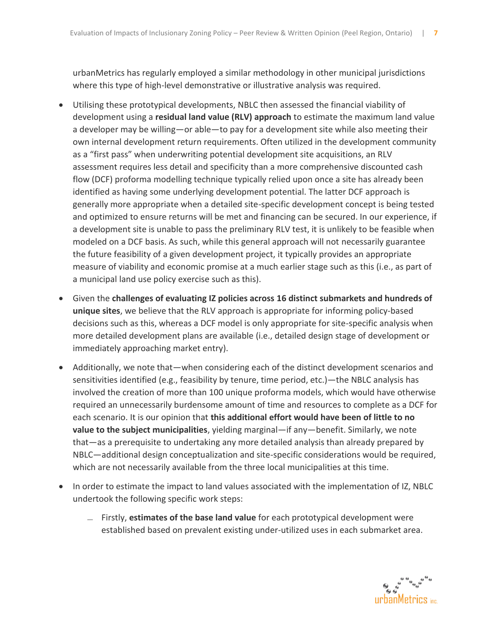urbanMetrics has regularly employed a similar methodology in other municipal jurisdictions where this type of high-level demonstrative or illustrative analysis was required.

- Utilising these prototypical developments, NBLC then assessed the financial viability of development using a **residual land value (RLV) approach** to estimate the maximum land value a developer may be willing—or able—to pay for a development site while also meeting their own internal development return requirements. Often utilized in the development community as a "first pass" when underwriting potential development site acquisitions, an RLV assessment requires less detail and specificity than a more comprehensive discounted cash flow (DCF) proforma modelling technique typically relied upon once a site has already been identified as having some underlying development potential. The latter DCF approach is generally more appropriate when a detailed site-specific development concept is being tested and optimized to ensure returns will be met and financing can be secured. In our experience, if a development site is unable to pass the preliminary RLV test, it is unlikely to be feasible when modeled on a DCF basis. As such, while this general approach will not necessarily guarantee the future feasibility of a given development project, it typically provides an appropriate measure of viability and economic promise at a much earlier stage such as this (i.e., as part of a municipal land use policy exercise such as this).
- Given the **challenges of evaluating IZ policies across 16 distinct submarkets and hundreds of unique sites**, we believe that the RLV approach is appropriate for informing policy-based decisions such as this, whereas a DCF model is only appropriate for site-specific analysis when more detailed development plans are available (i.e., detailed design stage of development or immediately approaching market entry).
- Additionally, we note that—when considering each of the distinct development scenarios and sensitivities identified (e.g., feasibility by tenure, time period, etc.)—the NBLC analysis has involved the creation of more than 100 unique proforma models, which would have otherwise required an unnecessarily burdensome amount of time and resources to complete as a DCF for each scenario. It is our opinion that **this additional effort would have been of little to no value to the subject municipalities**, yielding marginal—if any—benefit. Similarly, we note that—as a prerequisite to undertaking any more detailed analysis than already prepared by NBLC—additional design conceptualization and site-specific considerations would be required, which are not necessarily available from the three local municipalities at this time.
- In order to estimate the impact to land values associated with the implementation of IZ, NBLC undertook the following specific work steps:
	- ̶ Firstly, **estimates of the base land value** for each prototypical development were established based on prevalent existing under-utilized uses in each submarket area.

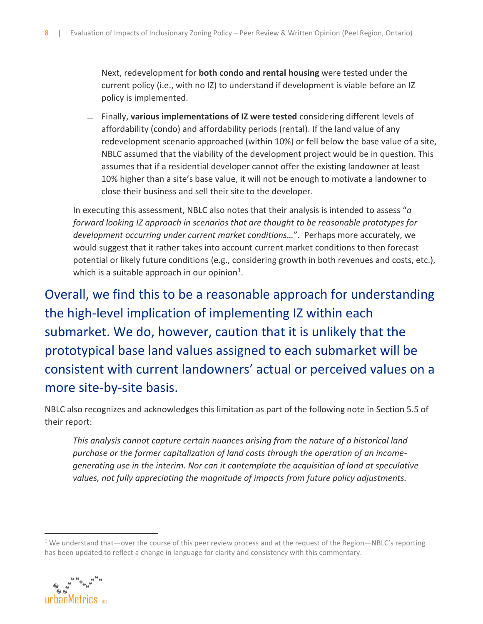- ̶ Next, redevelopment for **both condo and rental housing** were tested under the current policy (i.e., with no IZ) to understand if development is viable before an IZ policy is implemented.
- ̶ Finally, **various implementations of IZ were tested** considering different levels of affordability (condo) and affordability periods (rental). If the land value of any redevelopment scenario approached (within 10%) or fell below the base value of a site, NBLC assumed that the viability of the development project would be in question. This assumes that if a residential developer cannot offer the existing landowner at least 10% higher than a site's base value, it will not be enough to motivate a landowner to close their business and sell their site to the developer.

In executing this assessment, NBLC also notes that their analysis is intended to assess "*a forward looking IZ approach in scenarios that are thought to be reasonable prototypes for development occurring under current market conditions…*". Perhaps more accurately, we would suggest that it rather takes into account current market conditions to then forecast potential or likely future conditions (e.g., considering growth in both revenues and costs, etc.), which is a suitable approach in our opinion<sup>1</sup>.

Overall, we find this to be a reasonable approach for understanding the high-level implication of implementing IZ within each submarket. We do, however, caution that it is unlikely that the prototypical base land values assigned to each submarket will be consistent with current landowners' actual or perceived values on a more site-by-site basis.

NBLC also recognizes and acknowledges this limitation as part of the following note in Section 5.5 of their report:

*This analysis cannot capture certain nuances arising from the nature of a historical land purchase or the former capitalization of land costs through the operation of an incomegenerating use in the interim. Nor can it contemplate the acquisition of land at speculative values, not fully appreciating the magnitude of impacts from future policy adjustments.*

<sup>&</sup>lt;sup>1</sup> We understand that—over the course of this peer review process and at the request of the Region—NBLC's reporting has been updated to reflect a change in language for clarity and consistency with this commentary.

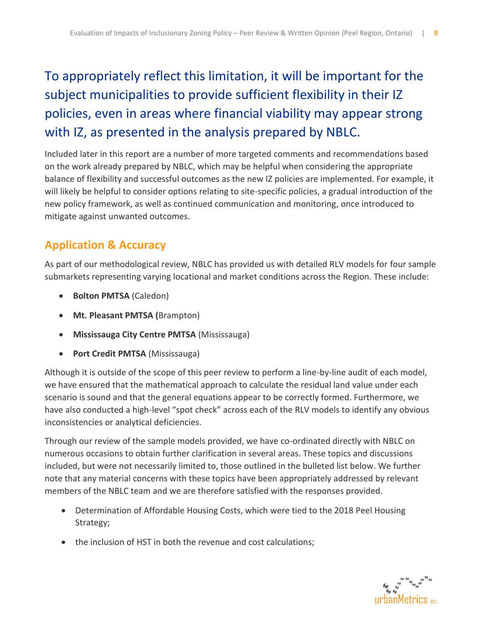## To appropriately reflect this limitation, it will be important for the subject municipalities to provide sufficient flexibility in their IZ policies, even in areas where financial viability may appear strong with IZ, as presented in the analysis prepared by NBLC.

Included later in this report are a number of more targeted comments and recommendations based on the work already prepared by NBLC, which may be helpful when considering the appropriate balance of flexibility and successful outcomes as the new IZ policies are implemented. For example, it will likely be helpful to consider options relating to site-specific policies, a gradual introduction of the new policy framework, as well as continued communication and monitoring, once introduced to mitigate against unwanted outcomes.

#### **Application & Accuracy**

As part of our methodological review, NBLC has provided us with detailed RLV models for four sample submarkets representing varying locational and market conditions across the Region. These include:

- **Bolton PMTSA** (Caledon)
- **Mt. Pleasant PMTSA (**Brampton)
- **Mississauga City Centre PMTSA** (Mississauga)
- **Port Credit PMTSA** (Mississauga)

Although it is outside of the scope of this peer review to perform a line-by-line audit of each model, we have ensured that the mathematical approach to calculate the residual land value under each scenario is sound and that the general equations appear to be correctly formed. Furthermore, we have also conducted a high-level "spot check" across each of the RLV models to identify any obvious inconsistencies or analytical deficiencies.

Through our review of the sample models provided, we have co-ordinated directly with NBLC on numerous occasions to obtain further clarification in several areas. These topics and discussions included, but were not necessarily limited to, those outlined in the bulleted list below. We further note that any material concerns with these topics have been appropriately addressed by relevant members of the NBLC team and we are therefore satisfied with the responses provided.

- Determination of Affordable Housing Costs, which were tied to the 2018 Peel Housing Strategy;
- the inclusion of HST in both the revenue and cost calculations;

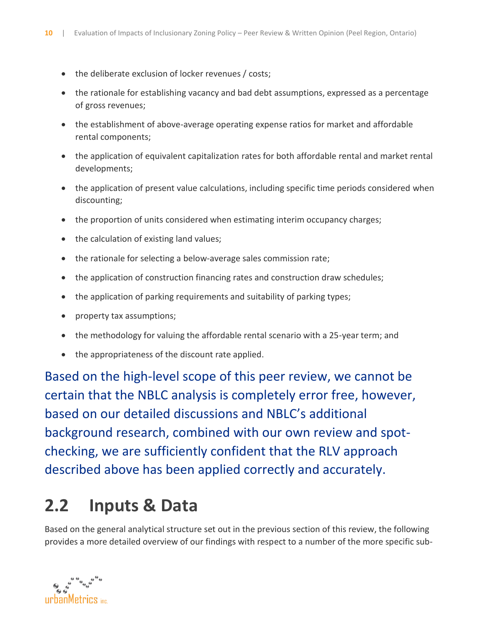- the deliberate exclusion of locker revenues / costs;
- the rationale for establishing vacancy and bad debt assumptions, expressed as a percentage of gross revenues;
- the establishment of above-average operating expense ratios for market and affordable rental components;
- the application of equivalent capitalization rates for both affordable rental and market rental developments;
- the application of present value calculations, including specific time periods considered when discounting;
- the proportion of units considered when estimating interim occupancy charges;
- the calculation of existing land values;
- the rationale for selecting a below-average sales commission rate;
- the application of construction financing rates and construction draw schedules;
- the application of parking requirements and suitability of parking types;
- property tax assumptions;
- the methodology for valuing the affordable rental scenario with a 25-year term; and
- the appropriateness of the discount rate applied.

Based on the high-level scope of this peer review, we cannot be certain that the NBLC analysis is completely error free, however, based on our detailed discussions and NBLC's additional background research, combined with our own review and spotchecking, we are sufficiently confident that the RLV approach described above has been applied correctly and accurately.

# **2.2 Inputs & Data**

Based on the general analytical structure set out in the previous section of this review, the following provides a more detailed overview of our findings with respect to a number of the more specific sub-

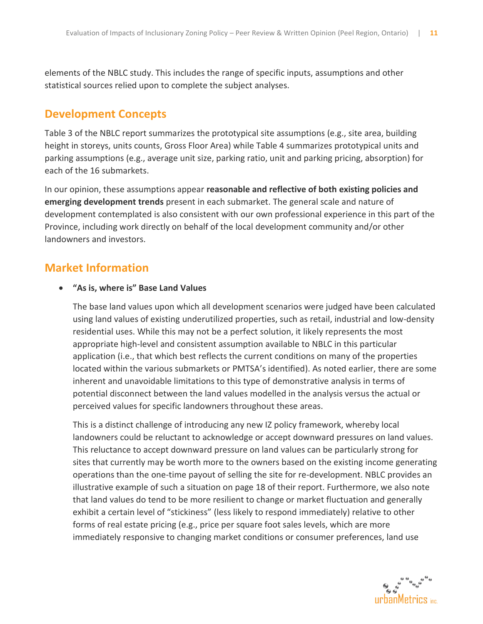elements of the NBLC study. This includes the range of specific inputs, assumptions and other statistical sources relied upon to complete the subject analyses.

#### **Development Concepts**

Table 3 of the NBLC report summarizes the prototypical site assumptions (e.g., site area, building height in storeys, units counts, Gross Floor Area) while Table 4 summarizes prototypical units and parking assumptions (e.g., average unit size, parking ratio, unit and parking pricing, absorption) for each of the 16 submarkets.

In our opinion, these assumptions appear **reasonable and reflective of both existing policies and emerging development trends** present in each submarket. The general scale and nature of development contemplated is also consistent with our own professional experience in this part of the Province, including work directly on behalf of the local development community and/or other landowners and investors.

#### **Market Information**

#### • **"As is, where is" Base Land Values**

The base land values upon which all development scenarios were judged have been calculated using land values of existing underutilized properties, such as retail, industrial and low-density residential uses. While this may not be a perfect solution, it likely represents the most appropriate high-level and consistent assumption available to NBLC in this particular application (i.e., that which best reflects the current conditions on many of the properties located within the various submarkets or PMTSA's identified). As noted earlier, there are some inherent and unavoidable limitations to this type of demonstrative analysis in terms of potential disconnect between the land values modelled in the analysis versus the actual or perceived values for specific landowners throughout these areas.

This is a distinct challenge of introducing any new IZ policy framework, whereby local landowners could be reluctant to acknowledge or accept downward pressures on land values. This reluctance to accept downward pressure on land values can be particularly strong for sites that currently may be worth more to the owners based on the existing income generating operations than the one-time payout of selling the site for re-development. NBLC provides an illustrative example of such a situation on page 18 of their report. Furthermore, we also note that land values do tend to be more resilient to change or market fluctuation and generally exhibit a certain level of "stickiness" (less likely to respond immediately) relative to other forms of real estate pricing (e.g., price per square foot sales levels, which are more immediately responsive to changing market conditions or consumer preferences, land use

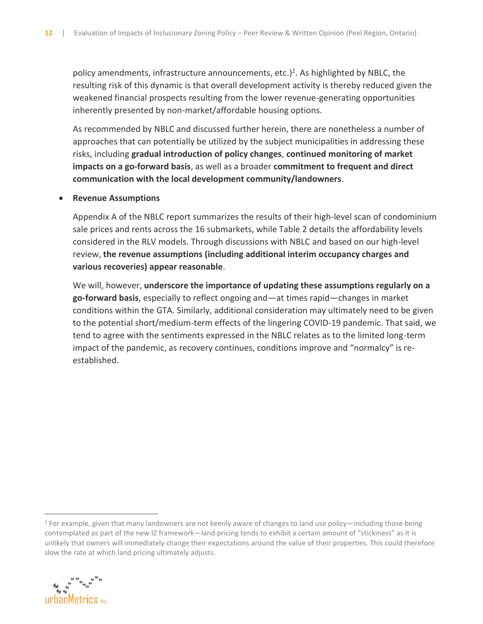policy amendments, infrastructure announcements, etc.)<sup>2</sup>. As highlighted by NBLC, the resulting risk of this dynamic is that overall development activity is thereby reduced given the weakened financial prospects resulting from the lower revenue-generating opportunities inherently presented by non-market/affordable housing options.

As recommended by NBLC and discussed further herein, there are nonetheless a number of approaches that can potentially be utilized by the subject municipalities in addressing these risks, including **gradual introduction of policy changes**, **continued monitoring of market impacts on a go-forward basis**, as well as a broader **commitment to frequent and direct communication with the local development community/landowners**.

#### • **Revenue Assumptions**

Appendix A of the NBLC report summarizes the results of their high-level scan of condominium sale prices and rents across the 16 submarkets, while Table 2 details the affordability levels considered in the RLV models. Through discussions with NBLC and based on our high-level review, **the revenue assumptions (including additional interim occupancy charges and various recoveries) appear reasonable**.

We will, however, **underscore the importance of updating these assumptions regularly on a go-forward basis**, especially to reflect ongoing and—at times rapid—changes in market conditions within the GTA. Similarly, additional consideration may ultimately need to be given to the potential short/medium-term effects of the lingering COVID-19 pandemic. That said, we tend to agree with the sentiments expressed in the NBLC relates as to the limited long-term impact of the pandemic, as recovery continues, conditions improve and "normalcy" is reestablished.

 $2$  For example, given that many landowners are not keenly aware of changes to land use policy—including those being contemplated as part of the new IZ framework—land pricing tends to exhibit a certain amount of "stickiness" as it is unlikely that owners will immediately change their expectations around the value of their properties. This could therefore slow the rate at which land pricing ultimately adjusts.

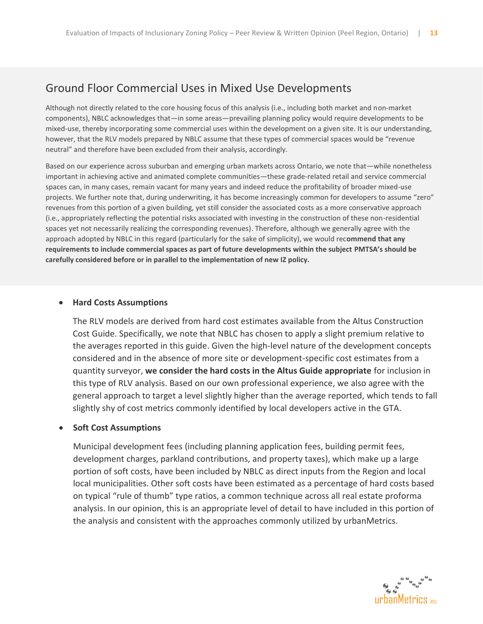#### Ground Floor Commercial Uses in Mixed Use Developments

Although not directly related to the core housing focus of this analysis (i.e., including both market and non-market components), NBLC acknowledges that—in some areas—prevailing planning policy would require developments to be mixed-use, thereby incorporating some commercial uses within the development on a given site. It is our understanding, however, that the RLV models prepared by NBLC assume that these types of commercial spaces would be "revenue neutral" and therefore have been excluded from their analysis, accordingly.

Based on our experience across suburban and emerging urban markets across Ontario, we note that—while nonetheless important in achieving active and animated complete communities—these grade-related retail and service commercial spaces can, in many cases, remain vacant for many years and indeed reduce the profitability of broader mixed-use projects. We further note that, during underwriting, it has become increasingly common for developers to assume "zero" revenues from this portion of a given building, yet still consider the associated costs as a more conservative approach (i.e., appropriately reflecting the potential risks associated with investing in the construction of these non-residential spaces yet not necessarily realizing the corresponding revenues). Therefore, although we generally agree with the approach adopted by NBLC in this regard (particularly for the sake of simplicity), we would rec**ommend that any requirements to include commercial spaces as part of future developments within the subject PMTSA's should be carefully considered before or in parallel to the implementation of new IZ policy.**

#### • **Hard Costs Assumptions**

The RLV models are derived from hard cost estimates available from the Altus Construction Cost Guide. Specifically, we note that NBLC has chosen to apply a slight premium relative to the averages reported in this guide. Given the high-level nature of the development concepts considered and in the absence of more site or development-specific cost estimates from a quantity surveyor, **we consider the hard costs in the Altus Guide appropriate** for inclusion in this type of RLV analysis. Based on our own professional experience, we also agree with the general approach to target a level slightly higher than the average reported, which tends to fall slightly shy of cost metrics commonly identified by local developers active in the GTA.

#### • **Soft Cost Assumptions**

Municipal development fees (including planning application fees, building permit fees, development charges, parkland contributions, and property taxes), which make up a large portion of soft costs, have been included by NBLC as direct inputs from the Region and local local municipalities. Other soft costs have been estimated as a percentage of hard costs based on typical "rule of thumb" type ratios, a common technique across all real estate proforma analysis. In our opinion, this is an appropriate level of detail to have included in this portion of the analysis and consistent with the approaches commonly utilized by urbanMetrics.

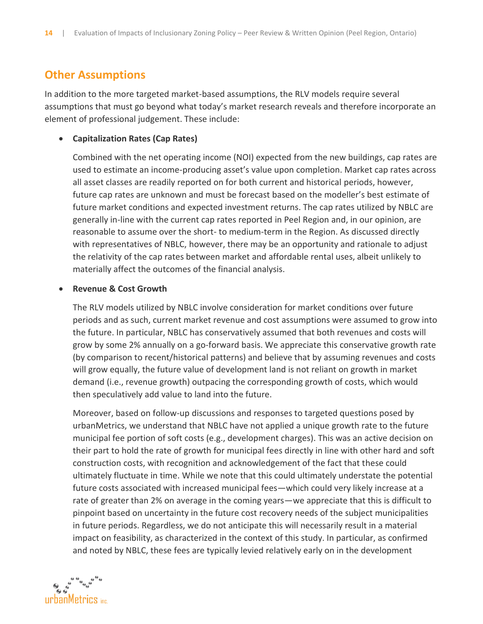#### **Other Assumptions**

In addition to the more targeted market-based assumptions, the RLV models require several assumptions that must go beyond what today's market research reveals and therefore incorporate an element of professional judgement. These include:

#### • **Capitalization Rates (Cap Rates)**

Combined with the net operating income (NOI) expected from the new buildings, cap rates are used to estimate an income-producing asset's value upon completion. Market cap rates across all asset classes are readily reported on for both current and historical periods, however, future cap rates are unknown and must be forecast based on the modeller's best estimate of future market conditions and expected investment returns. The cap rates utilized by NBLC are generally in-line with the current cap rates reported in Peel Region and, in our opinion, are reasonable to assume over the short- to medium-term in the Region. As discussed directly with representatives of NBLC, however, there may be an opportunity and rationale to adjust the relativity of the cap rates between market and affordable rental uses, albeit unlikely to materially affect the outcomes of the financial analysis.

#### • **Revenue & Cost Growth**

The RLV models utilized by NBLC involve consideration for market conditions over future periods and as such, current market revenue and cost assumptions were assumed to grow into the future. In particular, NBLC has conservatively assumed that both revenues and costs will grow by some 2% annually on a go-forward basis. We appreciate this conservative growth rate (by comparison to recent/historical patterns) and believe that by assuming revenues and costs will grow equally, the future value of development land is not reliant on growth in market demand (i.e., revenue growth) outpacing the corresponding growth of costs, which would then speculatively add value to land into the future.

Moreover, based on follow-up discussions and responses to targeted questions posed by urbanMetrics, we understand that NBLC have not applied a unique growth rate to the future municipal fee portion of soft costs (e.g., development charges). This was an active decision on their part to hold the rate of growth for municipal fees directly in line with other hard and soft construction costs, with recognition and acknowledgement of the fact that these could ultimately fluctuate in time. While we note that this could ultimately understate the potential future costs associated with increased municipal fees—which could very likely increase at a rate of greater than 2% on average in the coming years—we appreciate that this is difficult to pinpoint based on uncertainty in the future cost recovery needs of the subject municipalities in future periods. Regardless, we do not anticipate this will necessarily result in a material impact on feasibility, as characterized in the context of this study. In particular, as confirmed and noted by NBLC, these fees are typically levied relatively early on in the development

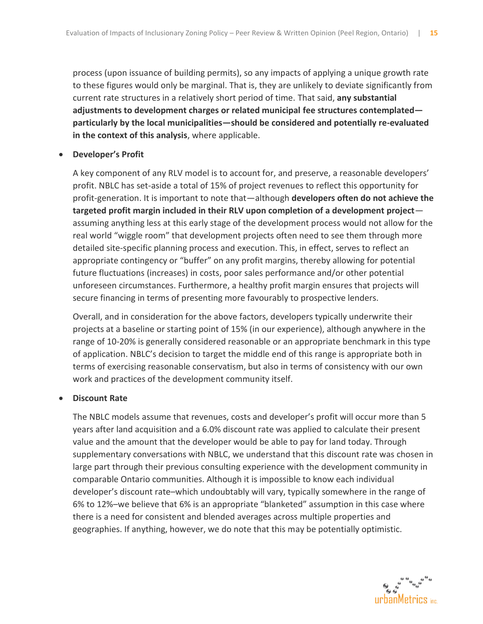process (upon issuance of building permits), so any impacts of applying a unique growth rate to these figures would only be marginal. That is, they are unlikely to deviate significantly from current rate structures in a relatively short period of time. That said, **any substantial adjustments to development charges or related municipal fee structures contemplated particularly by the local municipalities—should be considered and potentially re-evaluated in the context of this analysis**, where applicable.

#### • **Developer's Profit**

A key component of any RLV model is to account for, and preserve, a reasonable developers' profit. NBLC has set-aside a total of 15% of project revenues to reflect this opportunity for profit-generation. It is important to note that—although **developers often do not achieve the targeted profit margin included in their RLV upon completion of a development project** assuming anything less at this early stage of the development process would not allow for the real world "wiggle room" that development projects often need to see them through more detailed site-specific planning process and execution. This, in effect, serves to reflect an appropriate contingency or "buffer" on any profit margins, thereby allowing for potential future fluctuations (increases) in costs, poor sales performance and/or other potential unforeseen circumstances. Furthermore, a healthy profit margin ensures that projects will secure financing in terms of presenting more favourably to prospective lenders.

Overall, and in consideration for the above factors, developers typically underwrite their projects at a baseline or starting point of 15% (in our experience), although anywhere in the range of 10-20% is generally considered reasonable or an appropriate benchmark in this type of application. NBLC's decision to target the middle end of this range is appropriate both in terms of exercising reasonable conservatism, but also in terms of consistency with our own work and practices of the development community itself.

#### • **Discount Rate**

The NBLC models assume that revenues, costs and developer's profit will occur more than 5 years after land acquisition and a 6.0% discount rate was applied to calculate their present value and the amount that the developer would be able to pay for land today. Through supplementary conversations with NBLC, we understand that this discount rate was chosen in large part through their previous consulting experience with the development community in comparable Ontario communities. Although it is impossible to know each individual developer's discount rate–which undoubtably will vary, typically somewhere in the range of 6% to 12%–we believe that 6% is an appropriate "blanketed" assumption in this case where there is a need for consistent and blended averages across multiple properties and geographies. If anything, however, we do note that this may be potentially optimistic.

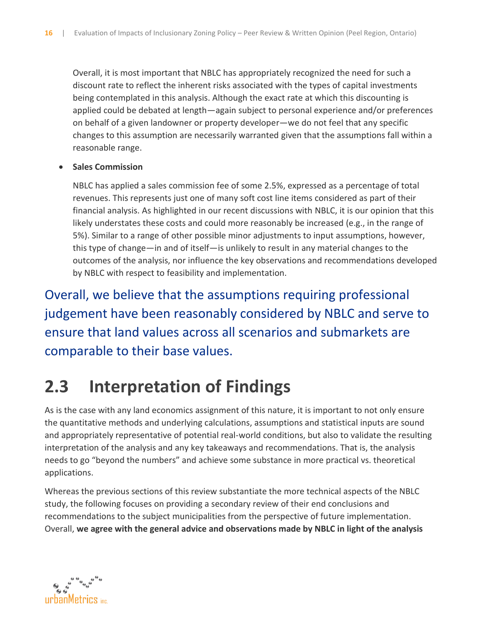Overall, it is most important that NBLC has appropriately recognized the need for such a discount rate to reflect the inherent risks associated with the types of capital investments being contemplated in this analysis. Although the exact rate at which this discounting is applied could be debated at length—again subject to personal experience and/or preferences on behalf of a given landowner or property developer—we do not feel that any specific changes to this assumption are necessarily warranted given that the assumptions fall within a reasonable range.

#### • **Sales Commission**

NBLC has applied a sales commission fee of some 2.5%, expressed as a percentage of total revenues. This represents just one of many soft cost line items considered as part of their financial analysis. As highlighted in our recent discussions with NBLC, it is our opinion that this likely understates these costs and could more reasonably be increased (e.g., in the range of 5%). Similar to a range of other possible minor adjustments to input assumptions, however, this type of change—in and of itself—is unlikely to result in any material changes to the outcomes of the analysis, nor influence the key observations and recommendations developed by NBLC with respect to feasibility and implementation.

Overall, we believe that the assumptions requiring professional judgement have been reasonably considered by NBLC and serve to ensure that land values across all scenarios and submarkets are comparable to their base values.

# **2.3 Interpretation of Findings**

As is the case with any land economics assignment of this nature, it is important to not only ensure the quantitative methods and underlying calculations, assumptions and statistical inputs are sound and appropriately representative of potential real-world conditions, but also to validate the resulting interpretation of the analysis and any key takeaways and recommendations. That is, the analysis needs to go "beyond the numbers" and achieve some substance in more practical vs. theoretical applications.

Whereas the previous sections of this review substantiate the more technical aspects of the NBLC study, the following focuses on providing a secondary review of their end conclusions and recommendations to the subject municipalities from the perspective of future implementation. Overall, **we agree with the general advice and observations made by NBLC in light of the analysis** 

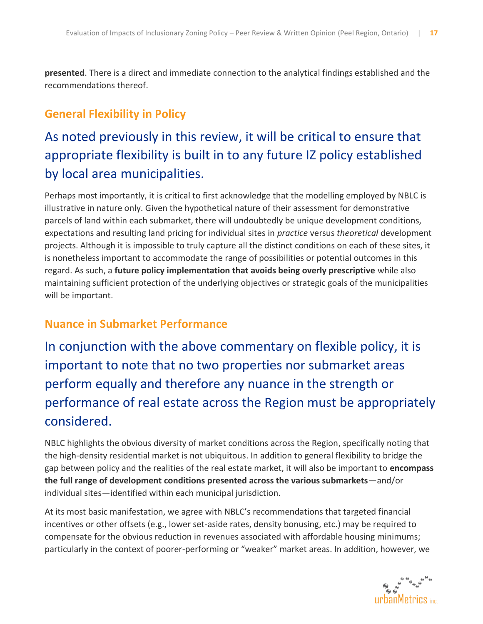**presented**. There is a direct and immediate connection to the analytical findings established and the recommendations thereof.

#### **General Flexibility in Policy**

## As noted previously in this review, it will be critical to ensure that appropriate flexibility is built in to any future IZ policy established by local area municipalities.

Perhaps most importantly, it is critical to first acknowledge that the modelling employed by NBLC is illustrative in nature only. Given the hypothetical nature of their assessment for demonstrative parcels of land within each submarket, there will undoubtedly be unique development conditions, expectations and resulting land pricing for individual sites in *practice* versus *theoretical* development projects. Although it is impossible to truly capture all the distinct conditions on each of these sites, it is nonetheless important to accommodate the range of possibilities or potential outcomes in this regard. As such, a **future policy implementation that avoids being overly prescriptive** while also maintaining sufficient protection of the underlying objectives or strategic goals of the municipalities will be important.

#### **Nuance in Submarket Performance**

In conjunction with the above commentary on flexible policy, it is important to note that no two properties nor submarket areas perform equally and therefore any nuance in the strength or performance of real estate across the Region must be appropriately considered.

NBLC highlights the obvious diversity of market conditions across the Region, specifically noting that the high-density residential market is not ubiquitous. In addition to general flexibility to bridge the gap between policy and the realities of the real estate market, it will also be important to **encompass the full range of development conditions presented across the various submarkets**—and/or individual sites—identified within each municipal jurisdiction.

At its most basic manifestation, we agree with NBLC's recommendations that targeted financial incentives or other offsets (e.g., lower set-aside rates, density bonusing, etc.) may be required to compensate for the obvious reduction in revenues associated with affordable housing minimums; particularly in the context of poorer-performing or "weaker" market areas. In addition, however, we

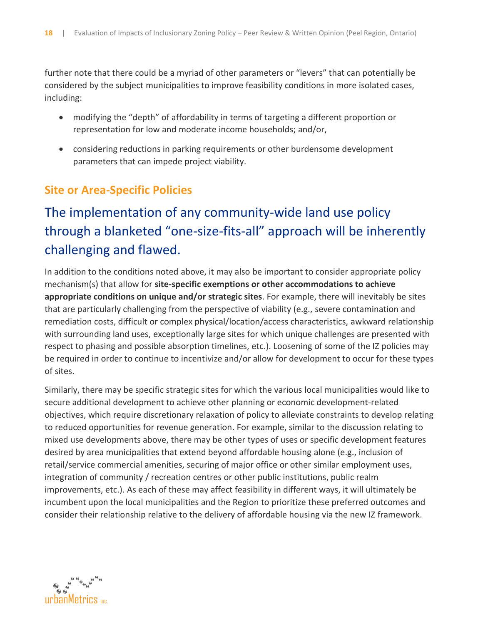further note that there could be a myriad of other parameters or "levers" that can potentially be considered by the subject municipalities to improve feasibility conditions in more isolated cases, including:

- modifying the "depth" of affordability in terms of targeting a different proportion or representation for low and moderate income households; and/or,
- considering reductions in parking requirements or other burdensome development parameters that can impede project viability.

#### **Site or Area-Specific Policies**

## The implementation of any community-wide land use policy through a blanketed "one-size-fits-all" approach will be inherently challenging and flawed.

In addition to the conditions noted above, it may also be important to consider appropriate policy mechanism(s) that allow for **site-specific exemptions or other accommodations to achieve appropriate conditions on unique and/or strategic sites**. For example, there will inevitably be sites that are particularly challenging from the perspective of viability (e.g., severe contamination and remediation costs, difficult or complex physical/location/access characteristics, awkward relationship with surrounding land uses, exceptionally large sites for which unique challenges are presented with respect to phasing and possible absorption timelines, etc.). Loosening of some of the IZ policies may be required in order to continue to incentivize and/or allow for development to occur for these types of sites.

Similarly, there may be specific strategic sites for which the various local municipalities would like to secure additional development to achieve other planning or economic development-related objectives, which require discretionary relaxation of policy to alleviate constraints to develop relating to reduced opportunities for revenue generation. For example, similar to the discussion relating to mixed use developments above, there may be other types of uses or specific development features desired by area municipalities that extend beyond affordable housing alone (e.g., inclusion of retail/service commercial amenities, securing of major office or other similar employment uses, integration of community / recreation centres or other public institutions, public realm improvements, etc.). As each of these may affect feasibility in different ways, it will ultimately be incumbent upon the local municipalities and the Region to prioritize these preferred outcomes and consider their relationship relative to the delivery of affordable housing via the new IZ framework.

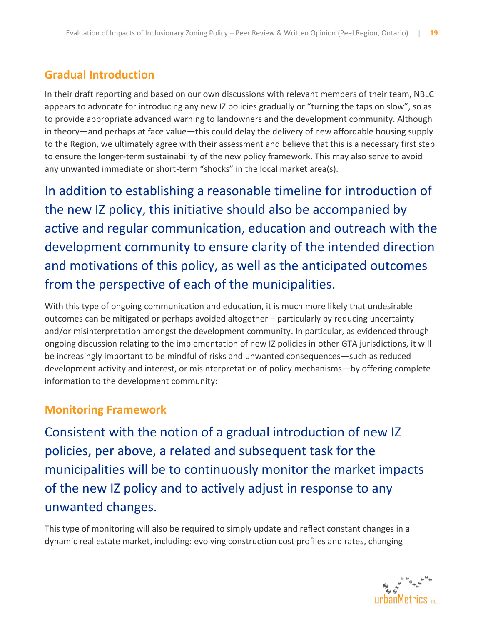#### **Gradual Introduction**

In their draft reporting and based on our own discussions with relevant members of their team, NBLC appears to advocate for introducing any new IZ policies gradually or "turning the taps on slow", so as to provide appropriate advanced warning to landowners and the development community. Although in theory—and perhaps at face value—this could delay the delivery of new affordable housing supply to the Region, we ultimately agree with their assessment and believe that this is a necessary first step to ensure the longer-term sustainability of the new policy framework. This may also serve to avoid any unwanted immediate or short-term "shocks" in the local market area(s).

In addition to establishing a reasonable timeline for introduction of the new IZ policy, this initiative should also be accompanied by active and regular communication, education and outreach with the development community to ensure clarity of the intended direction and motivations of this policy, as well as the anticipated outcomes from the perspective of each of the municipalities.

With this type of ongoing communication and education, it is much more likely that undesirable outcomes can be mitigated or perhaps avoided altogether – particularly by reducing uncertainty and/or misinterpretation amongst the development community. In particular, as evidenced through ongoing discussion relating to the implementation of new IZ policies in other GTA jurisdictions, it will be increasingly important to be mindful of risks and unwanted consequences—such as reduced development activity and interest, or misinterpretation of policy mechanisms—by offering complete information to the development community:

#### **Monitoring Framework**

Consistent with the notion of a gradual introduction of new IZ policies, per above, a related and subsequent task for the municipalities will be to continuously monitor the market impacts of the new IZ policy and to actively adjust in response to any unwanted changes.

This type of monitoring will also be required to simply update and reflect constant changes in a dynamic real estate market, including: evolving construction cost profiles and rates, changing

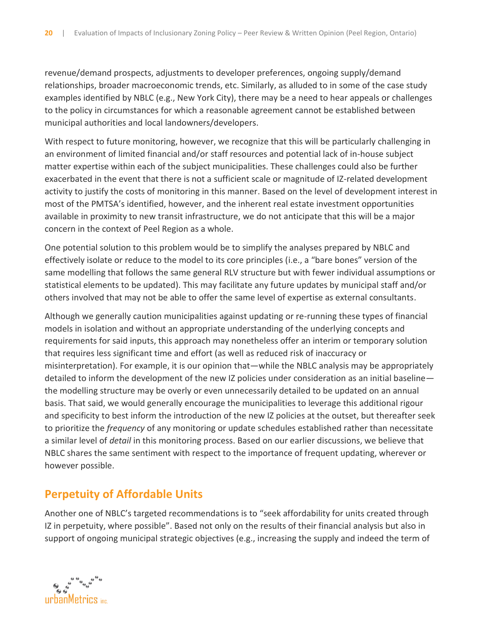revenue/demand prospects, adjustments to developer preferences, ongoing supply/demand relationships, broader macroeconomic trends, etc. Similarly, as alluded to in some of the case study examples identified by NBLC (e.g., New York City), there may be a need to hear appeals or challenges to the policy in circumstances for which a reasonable agreement cannot be established between municipal authorities and local landowners/developers.

With respect to future monitoring, however, we recognize that this will be particularly challenging in an environment of limited financial and/or staff resources and potential lack of in-house subject matter expertise within each of the subject municipalities. These challenges could also be further exacerbated in the event that there is not a sufficient scale or magnitude of IZ-related development activity to justify the costs of monitoring in this manner. Based on the level of development interest in most of the PMTSA's identified, however, and the inherent real estate investment opportunities available in proximity to new transit infrastructure, we do not anticipate that this will be a major concern in the context of Peel Region as a whole.

One potential solution to this problem would be to simplify the analyses prepared by NBLC and effectively isolate or reduce to the model to its core principles (i.e., a "bare bones" version of the same modelling that follows the same general RLV structure but with fewer individual assumptions or statistical elements to be updated). This may facilitate any future updates by municipal staff and/or others involved that may not be able to offer the same level of expertise as external consultants.

Although we generally caution municipalities against updating or re-running these types of financial models in isolation and without an appropriate understanding of the underlying concepts and requirements for said inputs, this approach may nonetheless offer an interim or temporary solution that requires less significant time and effort (as well as reduced risk of inaccuracy or misinterpretation). For example, it is our opinion that—while the NBLC analysis may be appropriately detailed to inform the development of the new IZ policies under consideration as an initial baseline the modelling structure may be overly or even unnecessarily detailed to be updated on an annual basis. That said, we would generally encourage the municipalities to leverage this additional rigour and specificity to best inform the introduction of the new IZ policies at the outset, but thereafter seek to prioritize the *frequency* of any monitoring or update schedules established rather than necessitate a similar level of *detail* in this monitoring process. Based on our earlier discussions, we believe that NBLC shares the same sentiment with respect to the importance of frequent updating, wherever or however possible.

#### **Perpetuity of Affordable Units**

Another one of NBLC's targeted recommendations is to "seek affordability for units created through IZ in perpetuity, where possible". Based not only on the results of their financial analysis but also in support of ongoing municipal strategic objectives (e.g., increasing the supply and indeed the term of

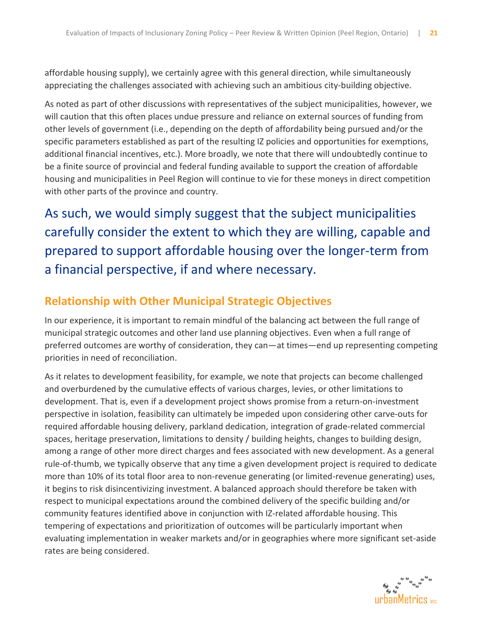affordable housing supply), we certainly agree with this general direction, while simultaneously appreciating the challenges associated with achieving such an ambitious city-building objective.

As noted as part of other discussions with representatives of the subject municipalities, however, we will caution that this often places undue pressure and reliance on external sources of funding from other levels of government (i.e., depending on the depth of affordability being pursued and/or the specific parameters established as part of the resulting IZ policies and opportunities for exemptions, additional financial incentives, etc.). More broadly, we note that there will undoubtedly continue to be a finite source of provincial and federal funding available to support the creation of affordable housing and municipalities in Peel Region will continue to vie for these moneys in direct competition with other parts of the province and country.

As such, we would simply suggest that the subject municipalities carefully consider the extent to which they are willing, capable and prepared to support affordable housing over the longer-term from a financial perspective, if and where necessary.

#### **Relationship with Other Municipal Strategic Objectives**

In our experience, it is important to remain mindful of the balancing act between the full range of municipal strategic outcomes and other land use planning objectives. Even when a full range of preferred outcomes are worthy of consideration, they can—at times—end up representing competing priorities in need of reconciliation.

As it relates to development feasibility, for example, we note that projects can become challenged and overburdened by the cumulative effects of various charges, levies, or other limitations to development. That is, even if a development project shows promise from a return-on-investment perspective in isolation, feasibility can ultimately be impeded upon considering other carve-outs for required affordable housing delivery, parkland dedication, integration of grade-related commercial spaces, heritage preservation, limitations to density / building heights, changes to building design, among a range of other more direct charges and fees associated with new development. As a general rule-of-thumb, we typically observe that any time a given development project is required to dedicate more than 10% of its total floor area to non-revenue generating (or limited-revenue generating) uses, it begins to risk disincentivizing investment. A balanced approach should therefore be taken with respect to municipal expectations around the combined delivery of the specific building and/or community features identified above in conjunction with IZ-related affordable housing. This tempering of expectations and prioritization of outcomes will be particularly important when evaluating implementation in weaker markets and/or in geographies where more significant set-aside rates are being considered.

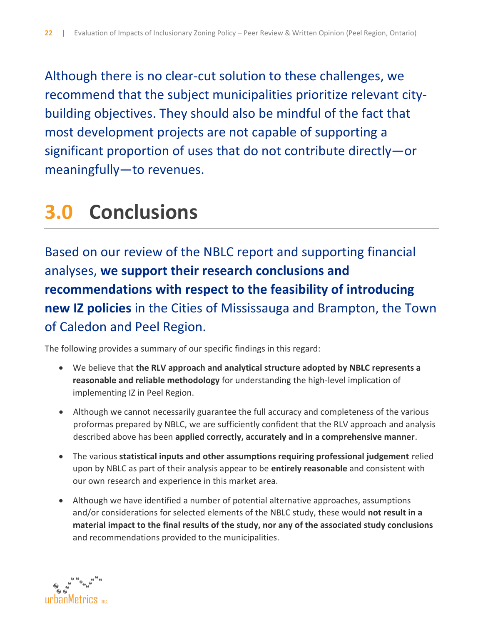Although there is no clear-cut solution to these challenges, we recommend that the subject municipalities prioritize relevant citybuilding objectives. They should also be mindful of the fact that most development projects are not capable of supporting a significant proportion of uses that do not contribute directly—or meaningfully—to revenues.

# **3.0 Conclusions**

Based on our review of the NBLC report and supporting financial analyses, **we support their research conclusions and recommendations with respect to the feasibility of introducing new IZ policies** in the Cities of Mississauga and Brampton, the Town of Caledon and Peel Region.

The following provides a summary of our specific findings in this regard:

- We believe that **the RLV approach and analytical structure adopted by NBLC represents a reasonable and reliable methodology** for understanding the high-level implication of implementing IZ in Peel Region.
- Although we cannot necessarily guarantee the full accuracy and completeness of the various proformas prepared by NBLC, we are sufficiently confident that the RLV approach and analysis described above has been **applied correctly, accurately and in a comprehensive manner**.
- The various **statistical inputs and other assumptions requiring professional judgement** relied upon by NBLC as part of their analysis appear to be **entirely reasonable** and consistent with our own research and experience in this market area.
- Although we have identified a number of potential alternative approaches, assumptions and/or considerations for selected elements of the NBLC study, these would **not result in a material impact to the final results of the study, nor any of the associated study conclusions** and recommendations provided to the municipalities.